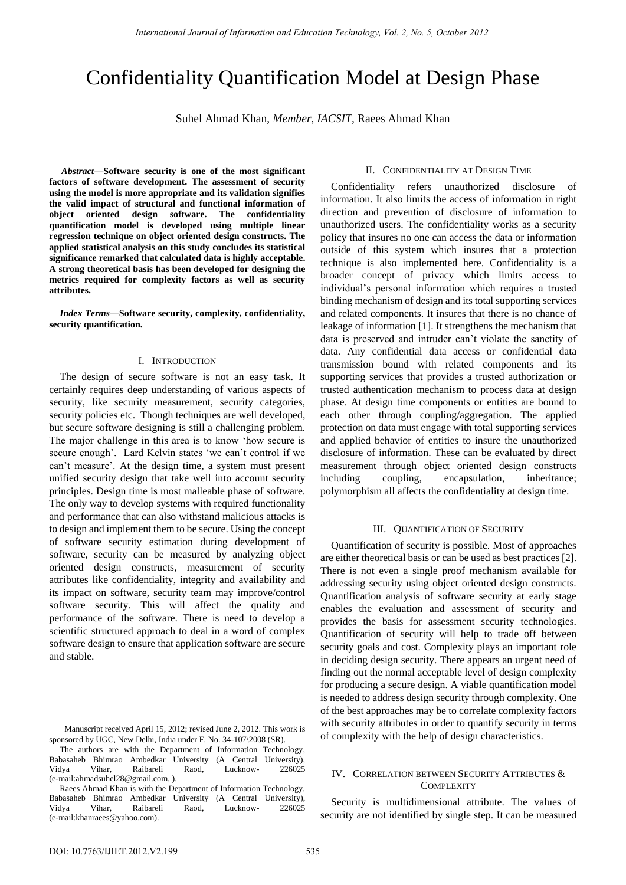# Confidentiality Quantification Model at Design Phase

Suhel Ahmad Khan, *Member, IACSIT,* Raees Ahmad Khan

*Abstract***—Software security is one of the most significant factors of software development. The assessment of security using the model is more appropriate and its validation signifies the valid impact of structural and functional information of object oriented design software. The confidentiality quantification model is developed using multiple linear regression technique on object oriented design constructs. The applied statistical analysis on this study concludes its statistical significance remarked that calculated data is highly acceptable. A strong theoretical basis has been developed for designing the metrics required for complexity factors as well as security attributes.** 

*Index Terms***—Software security, complexity, confidentiality, security quantification.** 

# I. INTRODUCTION

The design of secure software is not an easy task. It certainly requires deep understanding of various aspects of security, like security measurement, security categories, security policies etc. Though techniques are well developed, but secure software designing is still a challenging problem. The major challenge in this area is to know "how secure is secure enough'. Lard Kelvin states 'we can't control if we can"t measure". At the design time, a system must present unified security design that take well into account security principles. Design time is most malleable phase of software. The only way to develop systems with required functionality and performance that can also withstand malicious attacks is to design and implement them to be secure. Using the concept of software security estimation during development of software, security can be measured by analyzing object oriented design constructs, measurement of security attributes like confidentiality, integrity and availability and its impact on software, security team may improve/control software security. This will affect the quality and performance of the software. There is need to develop a scientific structured approach to deal in a word of complex software design to ensure that application software are secure and stable.

# II. CONFIDENTIALITY AT DESIGN TIME

Confidentiality refers unauthorized disclosure of information. It also limits the access of information in right direction and prevention of disclosure of information to unauthorized users. The confidentiality works as a security policy that insures no one can access the data or information outside of this system which insures that a protection technique is also implemented here. Confidentiality is a broader concept of privacy which limits access to individual"s personal information which requires a trusted binding mechanism of design and its total supporting services and related components. It insures that there is no chance of leakage of information [1]. It strengthens the mechanism that data is preserved and intruder can"t violate the sanctity of data. Any confidential data access or confidential data transmission bound with related components and its supporting services that provides a trusted authorization or trusted authentication mechanism to process data at design phase. At design time components or entities are bound to each other through coupling/aggregation. The applied protection on data must engage with total supporting services and applied behavior of entities to insure the unauthorized disclosure of information. These can be evaluated by direct measurement through object oriented design constructs including coupling, encapsulation, inheritance; polymorphism all affects the confidentiality at design time.

#### III. QUANTIFICATION OF SECURITY

Quantification of security is possible. Most of approaches are either theoretical basis or can be used as best practices [2]. There is not even a single proof mechanism available for addressing security using object oriented design constructs. Quantification analysis of software security at early stage enables the evaluation and assessment of security and provides the basis for assessment security technologies. Quantification of security will help to trade off between security goals and cost. Complexity plays an important role in deciding design security. There appears an urgent need of finding out the normal acceptable level of design complexity for producing a secure design. A viable quantification model is needed to address design security through complexity. One of the best approaches may be to correlate complexity factors with security attributes in order to quantify security in terms of complexity with the help of design characteristics.

# IV. CORRELATION BETWEEN SECURITY ATTRIBUTES & **COMPLEXITY**

Security is multidimensional attribute. The values of security are not identified by single step. It can be measured

Manuscript received April 15, 2012; revised June 2, 2012. This work is sponsored by UGC, New Delhi, India under F. No. 34-107\2008 (SR).

The authors are with the Department of Information Technology, Babasaheb Bhimrao Ambedkar University (A Central University), Vidya Vihar, Raibareli Raod, Lucknow- 226025 (e-mail:ahmadsuhel28@gmail.com, ).

Raees Ahmad Khan is with the Department of Information Technology, Babasaheb Bhimrao Ambedkar University (A Central University), Vidya Vihar, Raibareli Raod, Lucknow- 226025 (e-mail:khanraees@yahoo.com).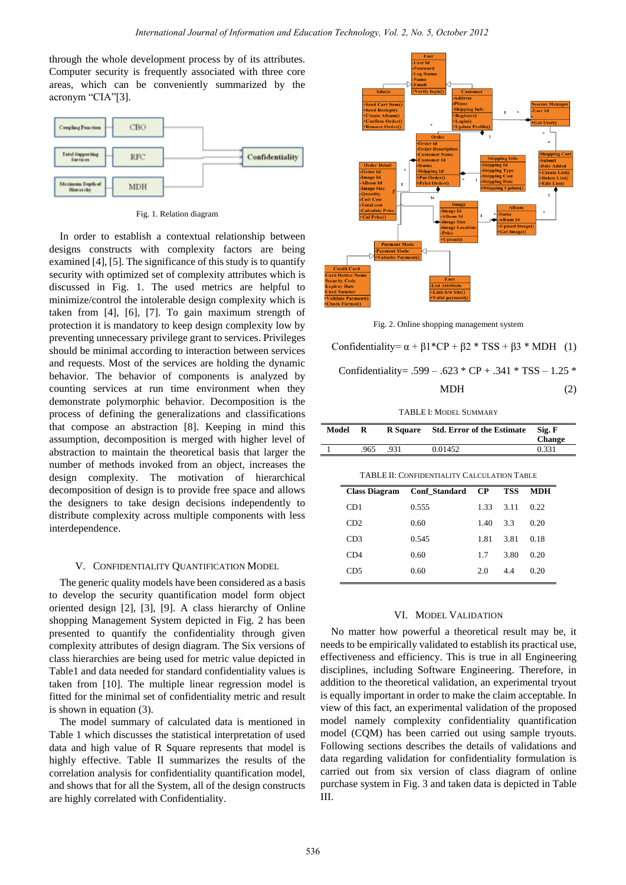through the whole development process by of its attributes. Computer security is frequently associated with three core areas, which can be conveniently summarized by the acronym "CIA"[3].



Fig. 1. Relation diagram

In order to establish a contextual relationship between designs constructs with complexity factors are being examined [4], [5]. The significance of this study is to quantify security with optimized set of complexity attributes which is discussed in Fig. 1. The used metrics are helpful to minimize/control the intolerable design complexity which is taken from [4], [6], [7]. To gain maximum strength of protection it is mandatory to keep design complexity low by preventing unnecessary privilege grant to services. Privileges should be minimal according to interaction between services and requests. Most of the services are holding the dynamic behavior. The behavior of components is analyzed by counting services at run time environment when they demonstrate polymorphic behavior. Decomposition is the process of defining the generalizations and classifications that compose an abstraction [8]. Keeping in mind this assumption, decomposition is merged with higher level of abstraction to maintain the theoretical basis that larger the number of methods invoked from an object, increases the design complexity. The motivation of hierarchical decomposition of design is to provide free space and allows the designers to take design decisions independently to distribute complexity across multiple components with less interdependence.

## V. CONFIDENTIALITY QUANTIFICATION MODEL

The generic quality models have been considered as a basis to develop the security quantification model form object oriented design [2], [3], [9]. A class hierarchy of Online shopping Management System depicted in Fig. 2 has been presented to quantify the confidentiality through given complexity attributes of design diagram. The Six versions of class hierarchies are being used for metric value depicted in Table1 and data needed for standard confidentiality values is taken from [10]. The multiple linear regression model is fitted for the minimal set of confidentiality metric and result is shown in equation (3).

The model summary of calculated data is mentioned in Table 1 which discusses the statistical interpretation of used data and high value of R Square represents that model is highly effective. Table II summarizes the results of the correlation analysis for confidentiality quantification model, and shows that for all the System, all of the design constructs are highly correlated with Confidentiality.



Fig. 2. Online shopping management system

Confidentiality=  $\alpha + \beta 1$ <sup>\*</sup>CP +  $\beta 2$  \* TSS +  $\beta 3$  \* MDH (1)

Confidentiality = 
$$
.599 - .623 \times CP + .341 \times TSS - 1.25 \times
$$

 $MDH$  (2)

TABLE I: MODEL SUMMARY

| Model | R    | <b>R</b> Square | <b>Std. Error of the Estimate</b> | Sig. F<br><b>Change</b> |
|-------|------|-----------------|-----------------------------------|-------------------------|
|       | .965 | .931            | 0.01452                           | 0.331                   |
|       |      |                 |                                   |                         |

|                 | Class Diagram Conf_Standard CP |      | <b>TSS</b> | <b>MDH</b> |
|-----------------|--------------------------------|------|------------|------------|
| CD <sub>1</sub> | 0.555                          | 1.33 | 3.11       | 0.22       |
| CD2             | 0.60                           | 1.40 | $-3.3$     | 0.20       |
| CD3             | 0.545                          | 1.81 | 3.81       | 0.18       |
| CD4             | 0.60                           | 1.7  | 3.80       | 0.20       |
| CD5             | 0.60                           | 2.0  | 44         | 0.20       |

#### VI. MODEL VALIDATION

No matter how powerful a theoretical result may be, it needs to be empirically validated to establish its practical use, effectiveness and efficiency. This is true in all Engineering disciplines, including Software Engineering. Therefore, in addition to the theoretical validation, an experimental tryout is equally important in order to make the claim acceptable. In view of this fact, an experimental validation of the proposed model namely complexity confidentiality quantification model (CQM) has been carried out using sample tryouts. Following sections describes the details of validations and data regarding validation for confidentiality formulation is carried out from six version of class diagram of online purchase system in Fig. 3 and taken data is depicted in Table III.